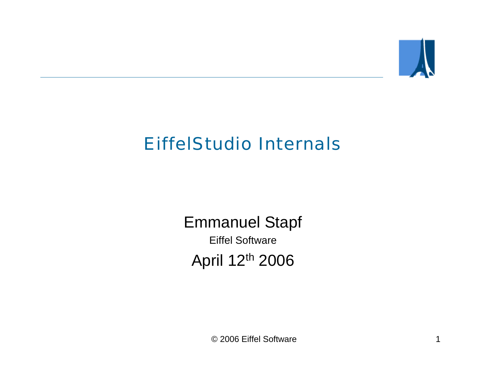

# EiffelStudio Internals

Emmanuel Stapf Eiffel SoftwareApril 12th 2006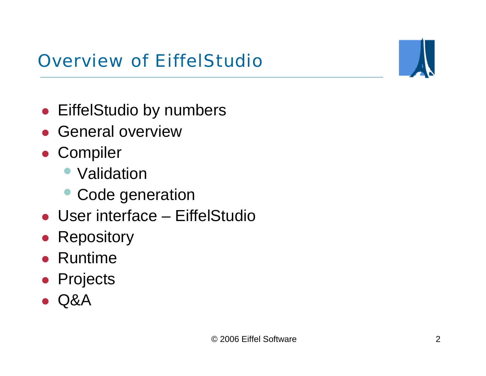# Overview of EiffelStudio

- **EiffelStudio by numbers**
- General overview
- Compiler
	- Validation
	- Code generation
- User interface EiffelStudio
- $\bullet$ **Repository**
- $\bullet$ Runtime
- **•** Projects
- $\bullet$ Q&A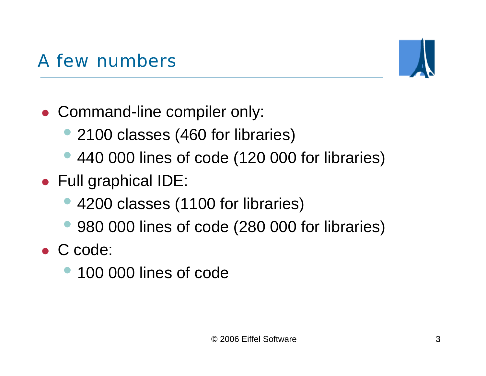# • Full graphical IDE:

• Command-line compiler only:

 $\bullet$ 4200 classes (1100 for libraries)

• 2100 classes (460 for libraries)

 $\bullet$ 980 000 lines of code (280 000 for libraries)

440 000 lines of code (120 000 for libraries)

• C code:

 $\bullet$ 

 $\bullet$ 100 000 lines of code

# A few numbers

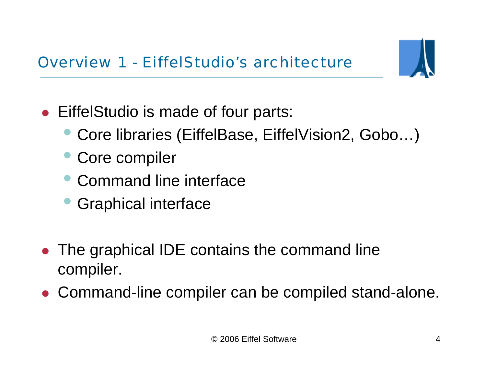

- EiffelStudio is made of four parts:
	- $\bullet$ Core libraries (EiffelBase, EiffelVision2, Gobo…)
	- $\bullet$ Core compiler
	- Command line interface
	- $\bullet$ Graphical interface
- $\bullet$  The graphical IDE contains the command line compiler.
- Command-line compiler can be compiled stand-alone.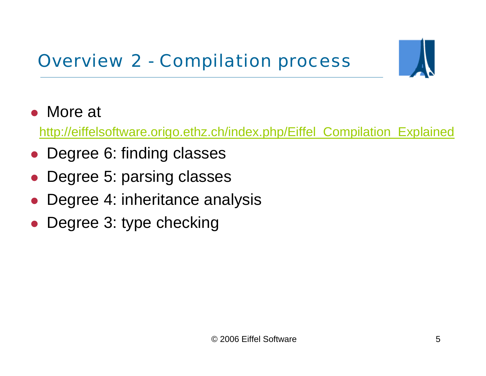

• More at

[http://eiffelsoftware.origo.ethz.ch/index.php/Eiffel\\_Compilation\\_Explained](http://eiffelsoftware.origo.ethz.ch/index.php/Eiffel_Compilation_Explained)

- $\bullet$ Degree 6: finding classes
- $\bullet$ Degree 5: parsing classes
- $\bullet$ Degree 4: inheritance analysis
- $\bullet$ Degree 3: type checking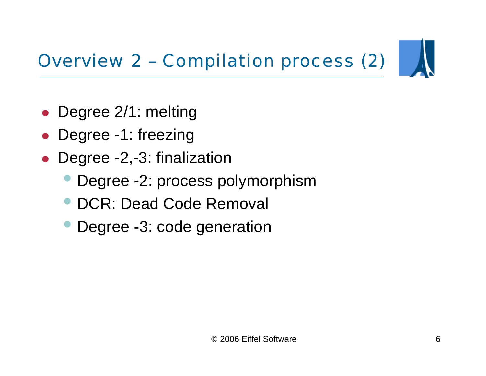# Overview 2 – Compilation process (2)



- $\bullet$ Degree 2/1: melting
- $\bullet$ Degree -1: freezing
- $\bullet$  Degree -2,-3: finalization
	- $\bullet$ Degree -2: process polymorphism
	- $\bullet$ DCR: Dead Code Removal
	- $\bullet$ Degree -3: code generation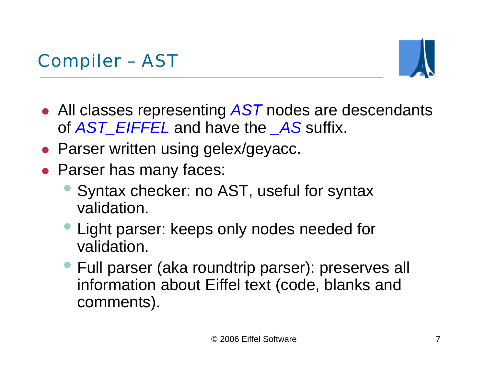

- All classes representing AST nodes are descendants of *AST\_EIFFEL* and have the *\_AS* suffix.
- Parser written using gelex/geyacc.
- Parser has many faces:
	- $\bullet$  Syntax checker: no AST, useful for syntax validation.
	- Light parser: keeps only nodes needed for validation.
	- Full parser (aka roundtrip parser): preserves all information about Eiffel text (code, blanks and comments).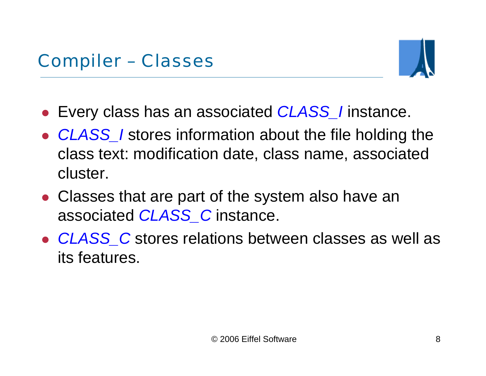

- z Every class has an associated *CLASS\_I* instance.
- CLASS\_*I* stores information about the file holding the class text: modification date, class name, associated cluster.
- Classes that are part of the system also have an associated *CLASS\_C* instance.
- CLASS\_C stores relations between classes as well as its features.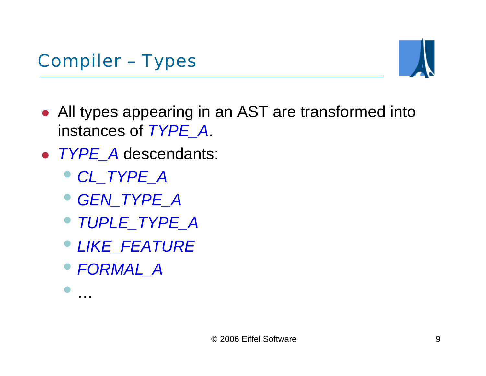

- All types appearing in an AST are transformed into instances of *TYPE\_A*.
- z *TYPE\_A* descendants:
	- *CL\_TYPE\_A*
	- *GEN\_TYPE\_A*
	- *TUPLE\_TYPE\_A*
	- *LIKE\_FEATURE*
	- *FORMAL\_A*

 $\bullet$ 

…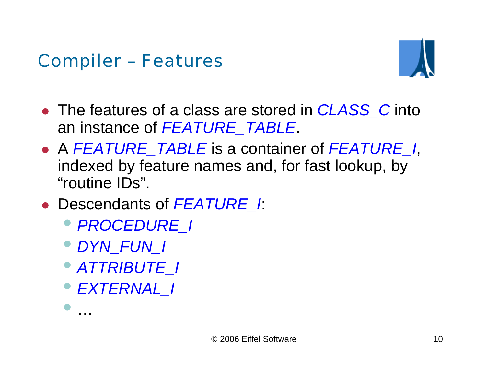

- The features of a class are stored in *CLASS* C into an instance of *FEATURE\_TABLE*.
- z A *FEATURE\_TABLE* is a container of *FEATURE\_I*, indexed by feature names and, for fast lookup, by "routine IDs".
- z Descendants of *FEATURE\_I*:
	- *PROCEDURE\_I*
	- *DYN\_FUN\_I*
	- *ATTRIBUTE\_I*
	- *EXTERNAL\_I*

 $\bullet$ 

…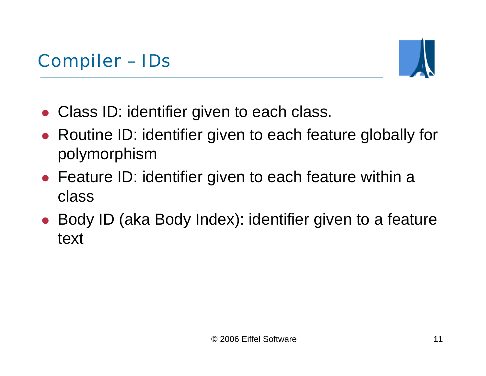

- Class ID: identifier given to each class.
- $\bullet$  Routine ID: identifier given to each feature globally for polymorphism
- Feature ID: identifier given to each feature within a class
- Body ID (aka Body Index): identifier given to a feature text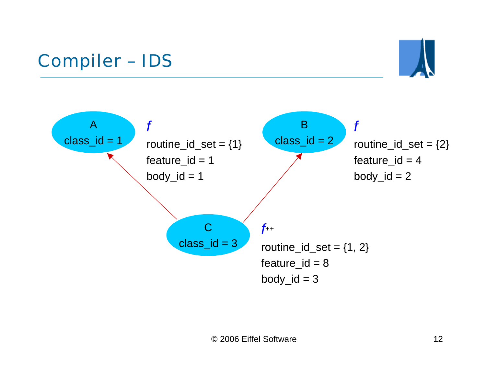# Compiler – IDS



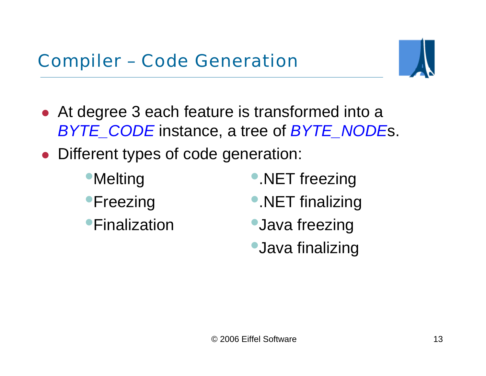

- At degree 3 each feature is transformed into a *BYTE\_CODE* instance, a tree of *BYTE\_NODE*s.
- $\bullet$  Different types of code generation:
	- •**Melting**
	- **•Freezing**
	- **•Finalization**
- •. NET freezing
- •.NET finalizing
- **Java freezing**
- •Java finalizing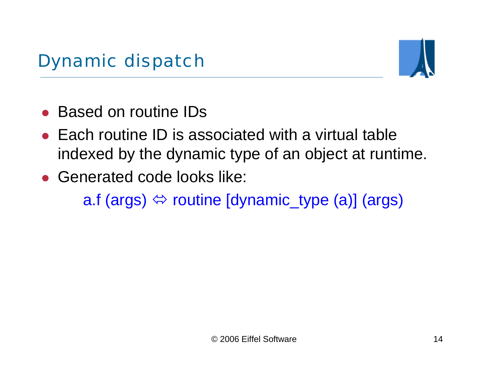

- $\bullet$ Based on routine IDs
- $\bullet$  Each routine ID is associated with a virtual table indexed by the dynamic type of an object at runtime.
- Generated code looks like: a.f (args)  $\Leftrightarrow$  routine [dynamic\_type (a)] (args)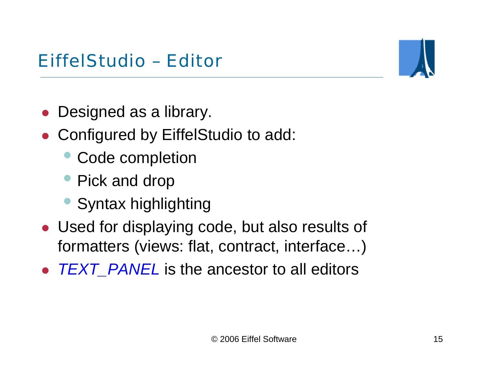### EiffelStudio – Editor



- $\bullet$ Designed as a library.
- Configured by EiffelStudio to add:
	- $\bullet$ Code completion
	- Pick and drop
	- Syntax highlighting
- Used for displaying code, but also results of formatters (views: flat, contract, interface…)
- $\bullet$ *TEXT\_PANEL* is the ancestor to all editors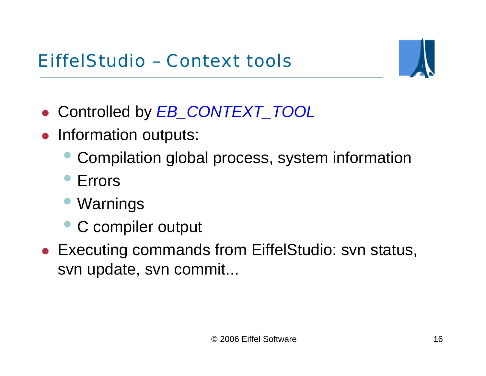### EiffelStudio – Context tools



- z Controlled by *EB\_CONTEXT\_TOOL*
- $\bullet$  Information outputs:
	- $\bullet$ Compilation global process, system information
	- Errors
	- $\bullet$ Warnings
	- C compiler output
- Executing commands from EiffelStudio: svn status, svn update, svn commit...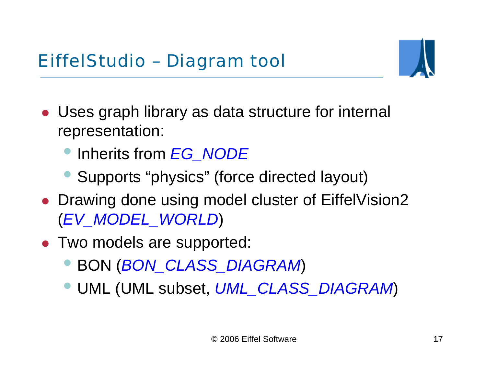

- Uses graph library as data structure for internal representation:
	- $\bullet$ Inherits from *EG\_NODE*
	- $\bullet$ Supports "physics" (force directed layout)
- Drawing done using model cluster of EiffelVision2 (*EV\_MODEL\_WORLD*)
- Two models are supported:
	- $\bullet$ BON (*BON\_CLASS\_DIAGRAM*)
	- $\bullet$ UML (UML subset, *UML\_CLASS\_DIAGRAM*)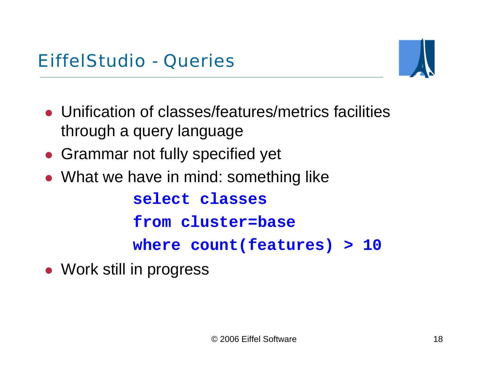

- Unification of classes/features/metrics facilities through a query language
- Grammar not fully specified yet
- What we have in mind: something like

**select classes**

**from cluster=base**

**where count(features) > 10**

• Work still in progress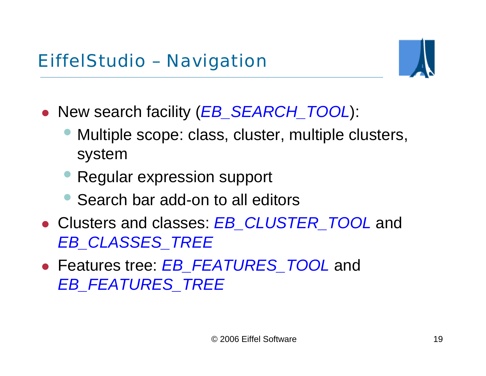

- z New search facility (*EB\_SEARCH\_TOOL*):
	- $\bullet$  Multiple scope: class, cluster, multiple clusters, system
	- Regular expression support
	- Search bar add-on to all editors
- z Clusters and classes: *EB\_CLUSTER\_TOOL* and *EB\_CLASSES\_TREE*
- z Features tree: *EB\_FEATURES\_TOOL* and *EB\_FEATURES\_TREE*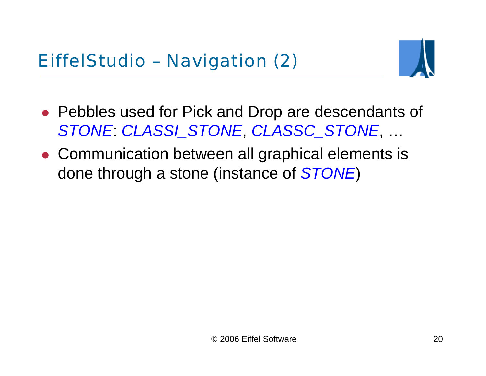

- Pebbles used for Pick and Drop are descendants of *STONE*: *CLASSI\_STONE*, *CLASSC\_STONE*, …
- Communication between all graphical elements is done through a stone (instance of *STONE*)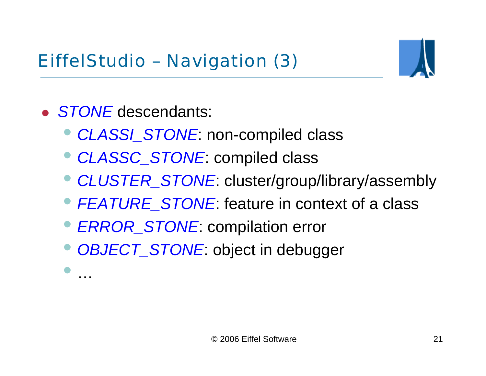

**• STONE** descendants:

 $\bullet$ 

…

- $\bullet$ *CLASSI\_STONE*: non-compiled class
- $\bullet$ *CLASSC\_STONE*: compiled class
- *CLUSTER\_STONE*: cluster/group/library/assembly
- *FEATURE\_STONE*: feature in context of a class
- $\bullet$ *ERROR\_STONE*: compilation error
- $\bullet$ *OBJECT\_STONE*: object in debugger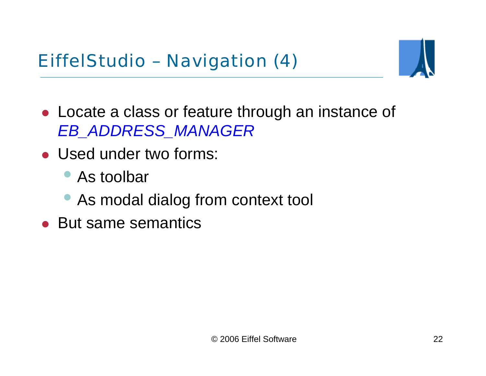EiffelStudio – Navigation (4)



- Locate a class or feature through an instance of *EB\_ADDRESS\_MANAGER*
- Used under two forms:
	- As toolbar
	- As modal dialog from context tool
- But same semantics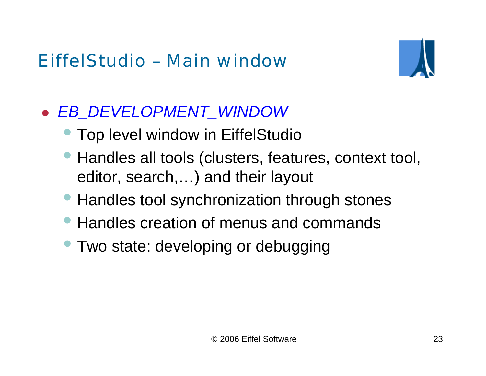

#### $\bullet$ *EB\_DEVELOPMENT\_WINDOW*

- **Top level window in EiffelStudio**
- $\bullet$  Handles all tools (clusters, features, context tool, editor, search,…) and their layout
- Handles tool synchronization through stones
- Handles creation of menus and commands
- **Two state: developing or debugging**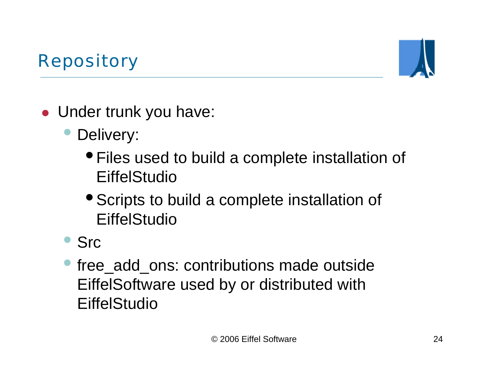# Repository



• Under trunk you have:

#### $\bullet$ Delivery:

- Files used to build a complete installation of **EiffelStudio**
- Scripts to build a complete installation of **EiffelStudio**

#### $\bullet$ Src

 $\bullet$ free add ons: contributions made outside EiffelSoftware used by or distributed with **EiffelStudio**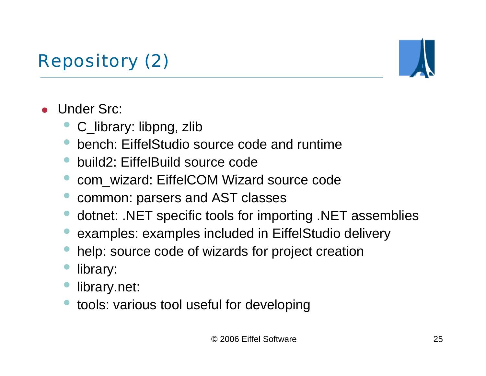# Repository (2)



- $\bullet$  Under Src:
	- C\_library: libpng, zlib
	- •bench: EiffelStudio source code and runtime
	- •build2: EiffelBuild source code
	- com\_wizard: EiffelCOM Wizard source code
	- •common: parsers and AST classes
	- •dotnet: .NET specific tools for importing .NET assemblies
	- $\bullet$ examples: examples included in EiffelStudio delivery
	- •help: source code of wizards for project creation
	- •library:
	- $\bullet$ library.net:
	- •tools: various tool useful for developing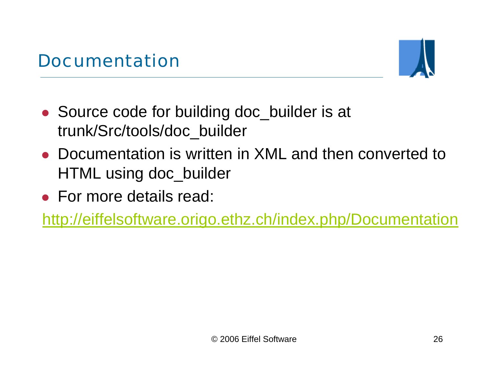

- Source code for building doc\_builder is at trunk/Src/tools/doc\_builder
- Documentation is written in XML and then converted to HTML using doc\_builder
- For more details read:

<http://eiffelsoftware.origo.ethz.ch/index.php/Documentation>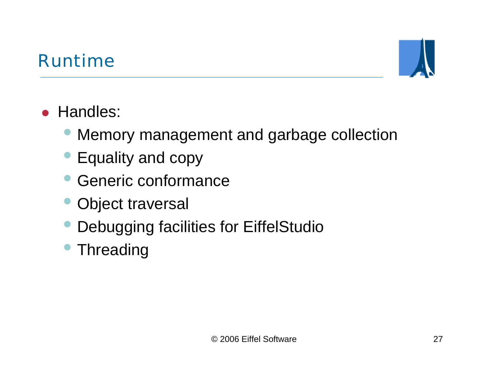## Runtime



# • Handles:

- $\bullet$ Memory management and garbage collection
- $\bullet$ Equality and copy
- $\bullet$ Generic conformance
- $\bullet$ Object traversal
- $\bullet$ Debugging facilities for EiffelStudio
- $\bullet$ Threading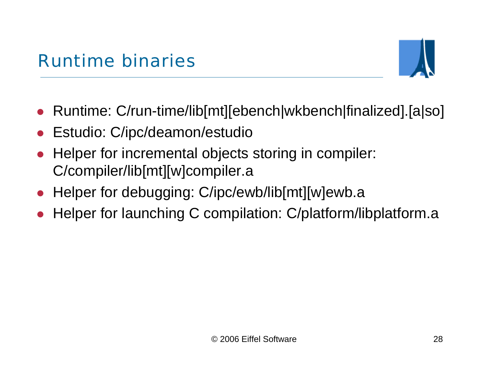

- Runtime: C/run-time/lib[mt][ebench|wkbench|finalized].[a|so]
- $\bullet$ Estudio: C/ipc/deamon/estudio
- $\bullet$  Helper for incremental objects storing in compiler: C/compiler/lib[mt][w]compiler.a
- Helper for debugging: C/ipc/ewb/lib[mt][w]ewb.a
- $\bullet$ Helper for launching C compilation: C/platform/libplatform.a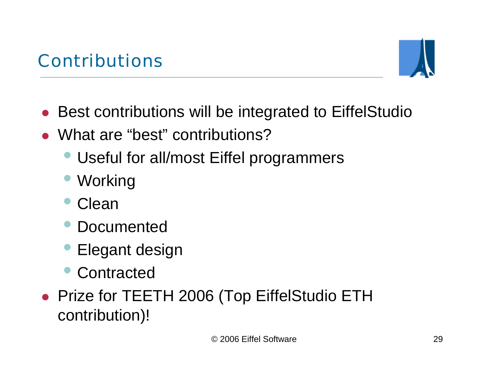

- **Best contributions will be integrated to EiffelStudio**
- What are "best" contributions?
	- $\bullet$ Useful for all/most Eiffel programmers
	- $\bullet$ **Working**
	- $\bullet$ Clean
	- Documented
	- $\bullet$ Elegant design
	- $\bullet$ **Contracted**
- Prize for TEETH 2006 (Top EiffelStudio ETH contribution)!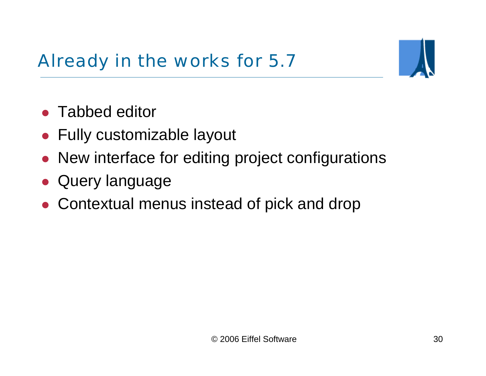Already in the works for 5.7



- Tabbed editor
- Fully customizable layout
- $\bullet$ New interface for editing project configurations
- $\bullet$ Query language
- Contextual menus instead of pick and drop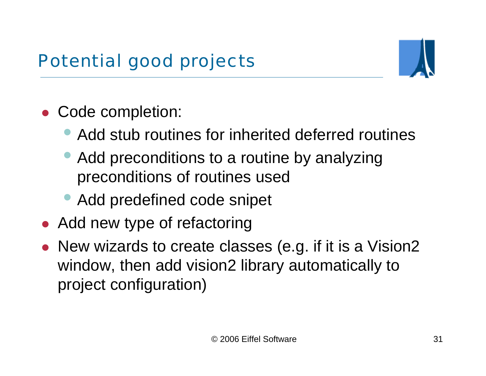

- $\bullet$  Code completion:
	- $\bullet$ Add stub routines for inherited deferred routines
	- $\bullet$  Add preconditions to a routine by analyzing preconditions of routines used
	- Add predefined code snipet
- Add new type of refactoring
- $\bullet$  New wizards to create classes (e.g. if it is a Vision2 window, then add vision2 library automatically to project configuration)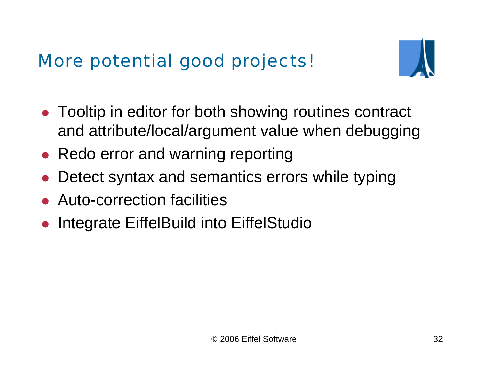

- Tooltip in editor for both showing routines contract and attribute/local/argument value when debugging
- Redo error and warning reporting
- $\bullet$ Detect syntax and semantics errors while typing
- Auto-correction facilities
- $\bullet$ Integrate EiffelBuild into EiffelStudio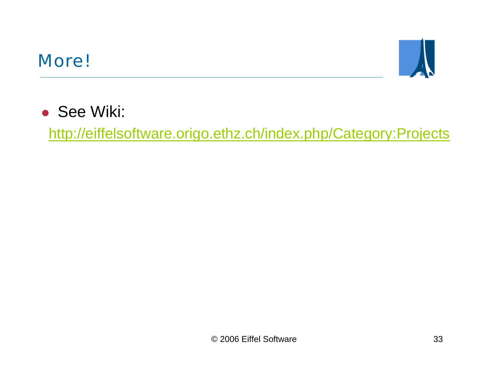#### More!



• See Wiki:

<http://eiffelsoftware.origo.ethz.ch/index.php/Category:Projects>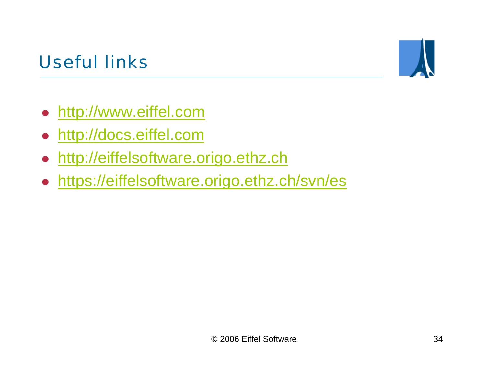# Useful links



- [http://www.eiffel.com](http://www.eiffel.com/)
- [http://docs.eiffel.com](http://docs.eiffel.com/)
- $\bullet$ [http://eiffelsoftware.origo.ethz.ch](http://eiffelsoftware.origo.ethz.ch/)
- <https://eiffelsoftware.origo.ethz.ch/svn/es>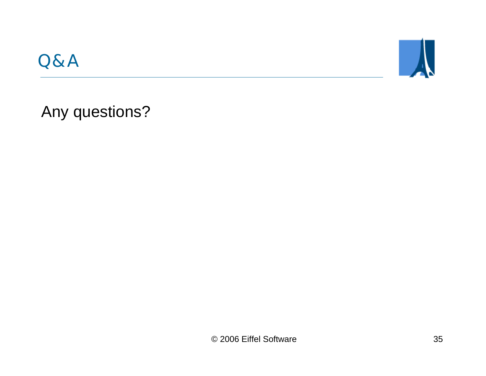



Any questions?